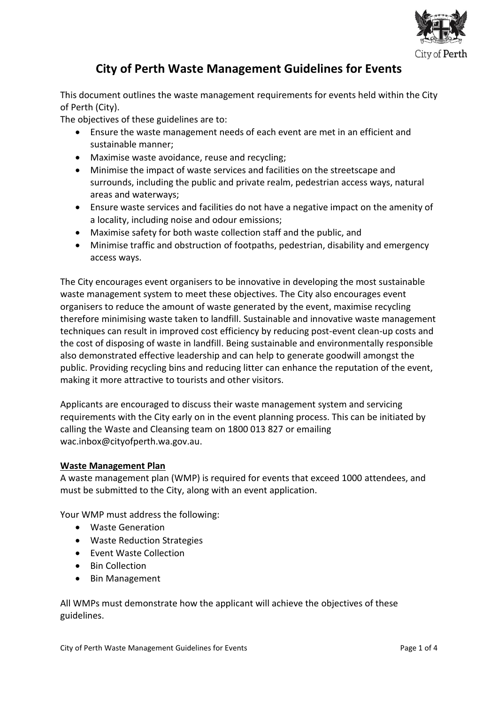

# **City of Perth Waste Management Guidelines for Events**

This document outlines the waste management requirements for events held within the City of Perth (City).

The objectives of these guidelines are to:

- Ensure the waste management needs of each event are met in an efficient and sustainable manner;
- Maximise waste avoidance, reuse and recycling;
- Minimise the impact of waste services and facilities on the streetscape and surrounds, including the public and private realm, pedestrian access ways, natural areas and waterways;
- Ensure waste services and facilities do not have a negative impact on the amenity of a locality, including noise and odour emissions;
- Maximise safety for both waste collection staff and the public, and
- Minimise traffic and obstruction of footpaths, pedestrian, disability and emergency access ways.

The City encourages event organisers to be innovative in developing the most sustainable waste management system to meet these objectives. The City also encourages event organisers to reduce the amount of waste generated by the event, maximise recycling therefore minimising waste taken to landfill. Sustainable and innovative waste management techniques can result in improved cost efficiency by reducing post-event clean-up costs and the cost of disposing of waste in landfill. Being sustainable and environmentally responsible also demonstrated effective leadership and can help to generate goodwill amongst the public. Providing recycling bins and reducing litter can enhance the reputation of the event, making it more attractive to tourists and other visitors.

Applicants are encouraged to discuss their waste management system and servicing requirements with the City early on in the event planning process. This can be initiated by calling the Waste and Cleansing team on 1800 013 827 or emailing wac.inbox@cityofperth.wa.gov.au.

## **Waste Management Plan**

A waste management plan (WMP) is required for events that exceed 1000 attendees, and must be submitted to the City, along with an event application.

Your WMP must address the following:

- Waste Generation
- Waste Reduction Strategies
- Event Waste Collection
- Bin Collection
- Bin Management

All WMPs must demonstrate how the applicant will achieve the objectives of these guidelines.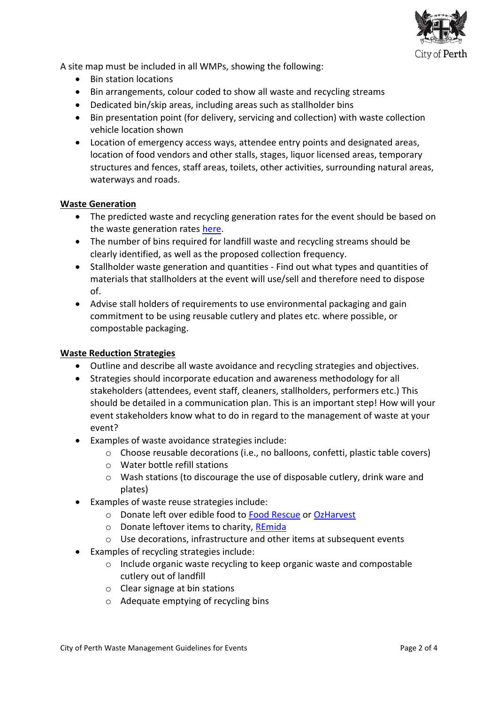

A site map must be included in all WMPs, showing the following:

- Bin station locations
- Bin arrangements, colour coded to show all waste and recycling streams
- Dedicated bin/skip areas, including areas such as stallholder bins
- Bin presentation point (for delivery, servicing and collection) with waste collection vehicle location shown
- Location of emergency access ways, attendee entry points and designated areas, location of food vendors and other stalls, stages, liquor licensed areas, temporary structures and fences, staff areas, toilets, other activities, surrounding natural areas, waterways and roads.

## **Waste Generation**

- The predicted waste and recycling generation rates for the event should be based on the waste generation rates [here.](https://perth.azureedge.net/-/media/Project/COP/COP/COP/Documents-and-Forms/Forms-Applications-and-Payments/Hire-and-bookings/Event-Bin-Calculator.xlsx?la=en&modified=20190403010911)
- The number of bins required for landfill waste and recycling streams should be clearly identified, as well as the proposed collection frequency.
- Stallholder waste generation and quantities Find out what types and quantities of materials that stallholders at the event will use/sell and therefore need to dispose of.
- Advise stall holders of requirements to use environmental packaging and gain commitment to be using reusable cutlery and plates etc. where possible, or compostable packaging.

## **Waste Reduction Strategies**

- Outline and describe all waste avoidance and recycling strategies and objectives.
- Strategies should incorporate education and awareness methodology for all stakeholders (attendees, event staff, cleaners, stallholders, performers etc.) This should be detailed in a communication plan. This is an important step! How will your event stakeholders know what to do in regard to the management of waste at your event?
- Examples of waste avoidance strategies include:
	- o Choose reusable decorations (i.e., no balloons, confetti, plastic table covers)
	- o Water bottle refill stations
	- $\circ$  Wash stations (to discourage the use of disposable cutlery, drink ware and plates)
- Examples of waste reuse strategies include:
	- o Donate left over edible food to [Food Rescue](https://www.unitingcarewest.org.au/get-involved/food-rescue-cargo-carts) or [OzHarvest](https://www.ozharvest.org/perth/)
	- o Donate leftover items to charity, [REmida](https://www.remidawa.com/material-donations)
	- o Use decorations, infrastructure and other items at subsequent events
- Examples of recycling strategies include:
	- o Include organic waste recycling to keep organic waste and compostable cutlery out of landfill
	- o Clear signage at bin stations
	- o Adequate emptying of recycling bins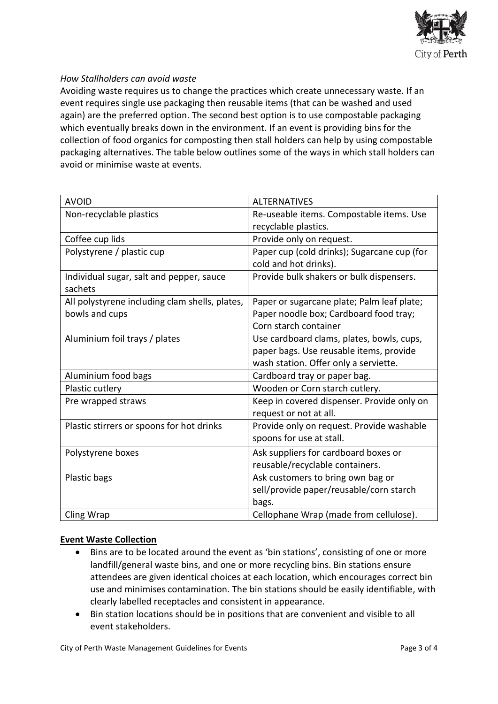

## *How Stallholders can avoid waste*

Avoiding waste requires us to change the practices which create unnecessary waste. If an event requires single use packaging then reusable items (that can be washed and used again) are the preferred option. The second best option is to use compostable packaging which eventually breaks down in the environment. If an event is providing bins for the collection of food organics for composting then stall holders can help by using compostable packaging alternatives. The table below outlines some of the ways in which stall holders can avoid or minimise waste at events.

| <b>AVOID</b>                                        | <b>ALTERNATIVES</b>                         |
|-----------------------------------------------------|---------------------------------------------|
| Non-recyclable plastics                             | Re-useable items. Compostable items. Use    |
|                                                     | recyclable plastics.                        |
| Coffee cup lids                                     | Provide only on request.                    |
| Polystyrene / plastic cup                           | Paper cup (cold drinks); Sugarcane cup (for |
|                                                     | cold and hot drinks).                       |
| Individual sugar, salt and pepper, sauce<br>sachets | Provide bulk shakers or bulk dispensers.    |
| All polystyrene including clam shells, plates,      | Paper or sugarcane plate; Palm leaf plate;  |
| bowls and cups                                      | Paper noodle box; Cardboard food tray;      |
|                                                     | Corn starch container                       |
| Aluminium foil trays / plates                       | Use cardboard clams, plates, bowls, cups,   |
|                                                     | paper bags. Use reusable items, provide     |
|                                                     | wash station. Offer only a serviette.       |
| Aluminium food bags                                 | Cardboard tray or paper bag.                |
| Plastic cutlery                                     | Wooden or Corn starch cutlery.              |
| Pre wrapped straws                                  | Keep in covered dispenser. Provide only on  |
|                                                     | request or not at all.                      |
| Plastic stirrers or spoons for hot drinks           | Provide only on request. Provide washable   |
|                                                     | spoons for use at stall.                    |
| Polystyrene boxes                                   | Ask suppliers for cardboard boxes or        |
|                                                     | reusable/recyclable containers.             |
| Plastic bags                                        | Ask customers to bring own bag or           |
|                                                     | sell/provide paper/reusable/corn starch     |
|                                                     | bags.                                       |
| Cling Wrap                                          | Cellophane Wrap (made from cellulose).      |

## **Event Waste Collection**

- Bins are to be located around the event as 'bin stations', consisting of one or more landfill/general waste bins, and one or more recycling bins. Bin stations ensure attendees are given identical choices at each location, which encourages correct bin use and minimises contamination. The bin stations should be easily identifiable, with clearly labelled receptacles and consistent in appearance.
- Bin station locations should be in positions that are convenient and visible to all event stakeholders.